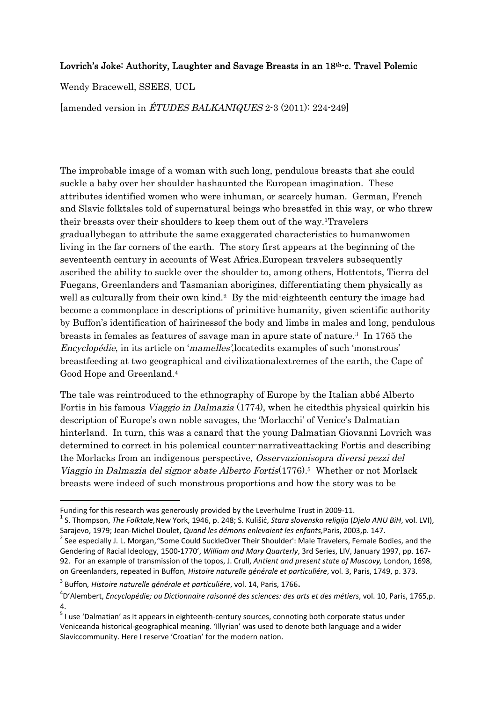## Lovrich's Joke: Authority, Laughter and Savage Breasts in an 18<sup>th-</sup>c. Travel Polemic

Wendy Bracewell, SSEES, UCL

[amended version in ÉTUDES BALKANIQUES 2-3 (2011): 224-249]

The improbable image of a woman with such long, pendulous breasts that she could suckle a baby over her shoulder hashaunted the European imagination. These attributes identified women who were inhuman, or scarcely human. German, French and Slavic folktales told of supernatural beings who breastfed in this way, or who threw their breasts over their shoulders to keep them out of the way.1Travelers graduallybegan to attribute the same exaggerated characteristics to humanwomen living in the far corners of the earth. The story first appears at the beginning of the seventeenth century in accounts of West Africa.European travelers subsequently ascribed the ability to suckle over the shoulder to, among others, Hottentots, Tierra del Fuegans, Greenlanders and Tasmanian aborigines, differentiating them physically as well as culturally from their own kind.<sup>2</sup> By the mid-eighteenth century the image had become a commonplace in descriptions of primitive humanity, given scientific authority by Buffon's identification of hairinessof the body and limbs in males and long, pendulous breasts in females as features of savage man in apure state of nature.<sup>3</sup> In 1765 the Encyclopédie, in its article on 'mamelles',locatedits examples of such 'monstrous' breastfeeding at two geographical and civilizationalextremes of the earth, the Cape of Good Hope and Greenland.<sup>4</sup>

The tale was reintroduced to the ethnography of Europe by the Italian abbé Alberto Fortis in his famous Viaggio in Dalmazia (1774), when he citedthis physical quirkin his description of Europe's own noble savages, the 'Morlacchi' of Venice's Dalmatian hinterland. In turn, this was a canard that the young Dalmatian Giovanni Lovrich was determined to correct in his polemical counter-narrativeattacking Fortis and describing the Morlacks from an indigenous perspective, Osservazionisopra diversi pezzi del Viaggio in Dalmazia del signor abate Alberto Fortis(1776).<sup>5</sup> Whether or not Morlack breasts were indeed of such monstrous proportions and how the story was to be

Funding for this research was generously provided by the Leverhulme Trust in 2009-11.

<sup>1</sup> S. Thompson, *The Folktale,*New York, 1946, p. 248; S. Kulišić, *Stara slovenska religija* (*Djela ANU BiH*, vol. LVI), Sarajevo, 1979; Jean-Michel Doulet, *Quand les démons enlevaient les enfants,*Paris, 2003,p. 147.

<sup>2</sup> See especially J. L. Morgan,*''*Some Could SuckleOver Their Shoulder': Male Travelers, Female Bodies, and the Gendering of Racial Ideology, 1500-1770', *William and Mary Quarterly*, 3rd Series, LIV, January 1997, pp. 167- 92. For an example of transmission of the topos, J. Crull, *Antient and present state of Muscovy,* London, 1698, on Greenlanders, repeated in Buffon*, Histoire naturelle générale et particuliére*, vol. 3, Paris, 1749, p. 373.

<sup>3</sup> Buffon*, Histoire naturelle générale et particuliére*, vol. 14, Paris, 1766.

<sup>4</sup> D'Alembert, *Encyclopédie; ou Dictionnaire raisonné des sciences: des arts et des métiers*, vol. 10, Paris, 1765,p. 4.

<sup>&</sup>lt;sup>5</sup> I use 'Dalmatian' as it appears in eighteenth-century sources, connoting both corporate status under Veniceanda historical-geographical meaning. 'Illyrian' was used to denote both language and a wider Slaviccommunity. Here I reserve 'Croatian' for the modern nation.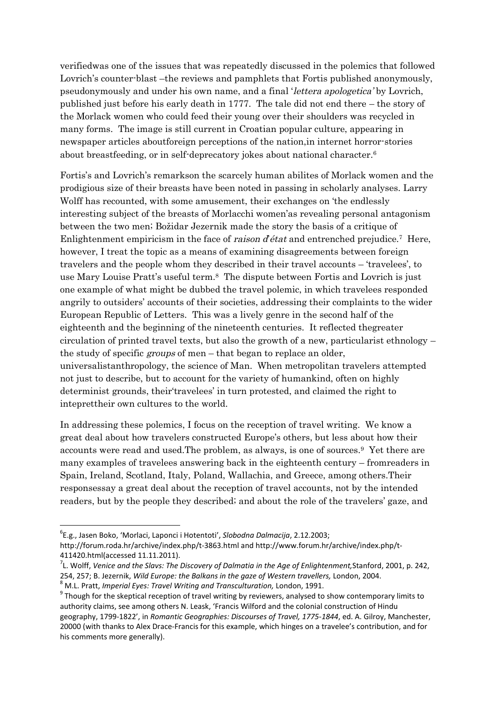verifiedwas one of the issues that was repeatedly discussed in the polemics that followed Lovrich's counter-blast –the reviews and pamphlets that Fortis published anonymously, pseudonymously and under his own name, and a final 'lettera apologetica' by Lovrich, published just before his early death in 1777. The tale did not end there – the story of the Morlack women who could feed their young over their shoulders was recycled in many forms. The image is still current in Croatian popular culture, appearing in newspaper articles aboutforeign perceptions of the nation,in internet horror-stories about breastfeeding, or in self-deprecatory jokes about national character.<sup>6</sup>

Fortis's and Lovrich's remarkson the scarcely human abilites of Morlack women and the prodigious size of their breasts have been noted in passing in scholarly analyses. Larry Wolff has recounted, with some amusement, their exchanges on 'the endlessly interesting subject of the breasts of Morlacchi women'as revealing personal antagonism between the two men; Božidar Jezernik made the story the basis of a critique of Enlightenment empiricism in the face of *raison d'état* and entrenched prejudice.<sup>7</sup> Here, however, I treat the topic as a means of examining disagreements between foreign travelers and the people whom they described in their travel accounts – 'travelees', to use Mary Louise Pratt's useful term.<sup>8</sup> The dispute between Fortis and Lovrich is just one example of what might be dubbed the travel polemic, in which travelees responded angrily to outsiders' accounts of their societies, addressing their complaints to the wider European Republic of Letters. This was a lively genre in the second half of the eighteenth and the beginning of the nineteenth centuries. It reflected thegreater circulation of printed travel texts, but also the growth of a new, particularist ethnology – the study of specific groups of men – that began to replace an older, universalistanthropology, the science of Man. When metropolitan travelers attempted not just to describe, but to account for the variety of humankind, often on highly determinist grounds, their'travelees' in turn protested, and claimed the right to inteprettheir own cultures to the world.

In addressing these polemics, I focus on the reception of travel writing. We know a great deal about how travelers constructed Europe's others, but less about how their accounts were read and used.The problem, as always, is one of sources.<sup>9</sup> Yet there are many examples of travelees answering back in the eighteenth century – fromreaders in Spain, Ireland, Scotland, Italy, Poland, Wallachia, and Greece, among others.Their responsessay a great deal about the reception of travel accounts, not by the intended readers, but by the people they described; and about the role of the travelers' gaze, and

<sup>6</sup> E.g., Jasen Boko, 'Morlaci, Laponci i Hotentoti', *Slobodna Dalmacija*, 2.12.2003;

http://forum.roda.hr/archive/index.php/t-3863.html and http://www.forum.hr/archive/index.php/t-411420.html(accessed 11.11.2011).

<sup>7</sup> L. Wolff, *Venice and the Slavs: The Discovery of Dalmatia in the Age of Enlightenment,*Stanford, 2001, p. 242, 254, 257; B. Jezernik, *Wild Europe: the Balkans in the gaze of Western travellers,* London, 2004.

<sup>8</sup> M.L. Pratt, *Imperial Eyes: Travel Writing and Transculturation,* London, 1991.

 $^9$  Though for the skeptical reception of travel writing by reviewers, analysed to show contemporary limits to authority claims, see among others N. Leask, 'Francis Wilford and the colonial construction of Hindu geography, 1799-1822', in *Romantic Geographies: Discourses of Travel, 1775-1844*, ed. A. Gilroy, Manchester, 20000 (with thanks to Alex Drace-Francis for this example, which hinges on a travelee's contribution, and for his comments more generally).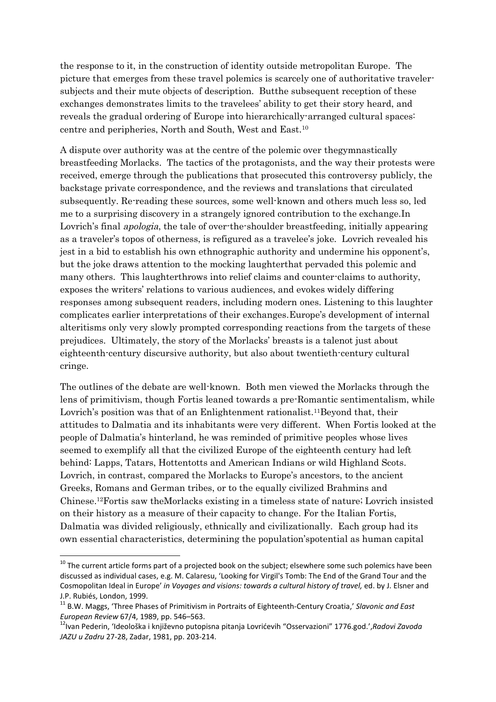the response to it, in the construction of identity outside metropolitan Europe. The picture that emerges from these travel polemics is scarcely one of authoritative travelersubjects and their mute objects of description. Butthe subsequent reception of these exchanges demonstrates limits to the travelees' ability to get their story heard, and reveals the gradual ordering of Europe into hierarchically-arranged cultural spaces: centre and peripheries, North and South, West and East.<sup>10</sup>

A dispute over authority was at the centre of the polemic over thegymnastically breastfeeding Morlacks. The tactics of the protagonists, and the way their protests were received, emerge through the publications that prosecuted this controversy publicly, the backstage private correspondence, and the reviews and translations that circulated subsequently. Re-reading these sources, some well-known and others much less so, led me to a surprising discovery in a strangely ignored contribution to the exchange.In Lovrich's final apologia, the tale of over-the-shoulder breastfeeding, initially appearing as a traveler's topos of otherness, is refigured as a travelee's joke. Lovrich revealed his jest in a bid to establish his own ethnographic authority and undermine his opponent's, but the joke draws attention to the mocking laughterthat pervaded this polemic and many others. This laughterthrows into relief claims and counter-claims to authority, exposes the writers' relations to various audiences, and evokes widely differing responses among subsequent readers, including modern ones. Listening to this laughter complicates earlier interpretations of their exchanges.Europe's development of internal alteritisms only very slowly prompted corresponding reactions from the targets of these prejudices. Ultimately, the story of the Morlacks' breasts is a talenot just about eighteenth-century discursive authority, but also about twentieth-century cultural cringe.

The outlines of the debate are well-known. Both men viewed the Morlacks through the lens of primitivism, though Fortis leaned towards a pre-Romantic sentimentalism, while Lovrich's position was that of an Enlightenment rationalist.<sup>11</sup>Beyond that, their attitudes to Dalmatia and its inhabitants were very different. When Fortis looked at the people of Dalmatia's hinterland, he was reminded of primitive peoples whose lives seemed to exemplify all that the civilized Europe of the eighteenth century had left behind: Lapps, Tatars, Hottentotts and American Indians or wild Highland Scots. Lovrich, in contrast, compared the Morlacks to Europe's ancestors, to the ancient Greeks, Romans and German tribes, or to the equally civilized Brahmins and Chinese.12Fortis saw theMorlacks existing in a timeless state of nature; Lovrich insisted on their history as a measure of their capacity to change. For the Italian Fortis, Dalmatia was divided religiously, ethnically and civilizationally. Each group had its own essential characteristics, determining the population'spotential as human capital

 $10$  The current article forms part of a projected book on the subject; elsewhere some such polemics have been discussed as individual cases, e.g. M. Calaresu, 'Looking for Virgil's Tomb: The End of the Grand Tour and the Cosmopolitan Ideal in Europe' *in Voyages and visions: towards a cultural history of travel,* ed. by J. Elsner and J.P. Rubiés, London, 1999.

<sup>11</sup> B.W. Maggs, 'Three Phases of Primitivism in Portraits of Eighteenth-Century Croatia,' *Slavonic and East European Review* 67/4, 1989, pp. 546–563.

<sup>12</sup>Ivan Pederin, 'Ideološka i književno putopisna pitanja Lovrićevih "Osservazioni" 1776.god.',*Radovi Zavoda JAZU u Zadru* 27-28, Zadar, 1981, pp. 203-214.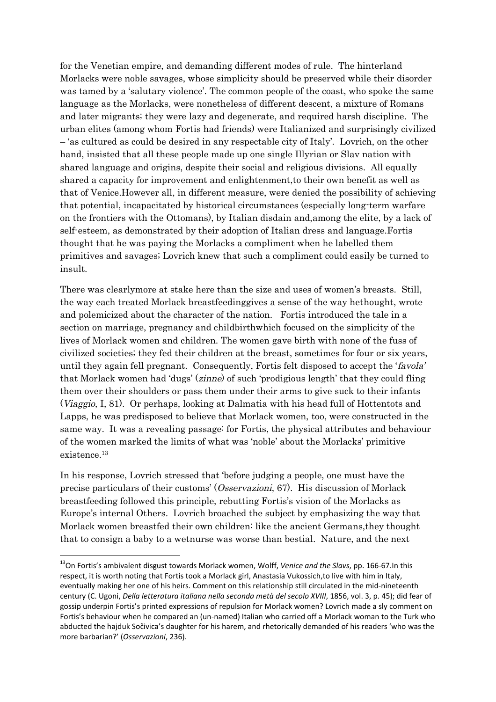for the Venetian empire, and demanding different modes of rule. The hinterland Morlacks were noble savages, whose simplicity should be preserved while their disorder was tamed by a 'salutary violence'. The common people of the coast, who spoke the same language as the Morlacks, were nonetheless of different descent, a mixture of Romans and later migrants; they were lazy and degenerate, and required harsh discipline. The urban elites (among whom Fortis had friends) were Italianized and surprisingly civilized – 'as cultured as could be desired in any respectable city of Italy'. Lovrich, on the other hand, insisted that all these people made up one single Illyrian or Slav nation with shared language and origins, despite their social and religious divisions. All equally shared a capacity for improvement and enlightenment,to their own benefit as well as that of Venice.However all, in different measure, were denied the possibility of achieving that potential, incapacitated by historical circumstances (especially long-term warfare on the frontiers with the Ottomans), by Italian disdain and,among the elite, by a lack of self-esteem, as demonstrated by their adoption of Italian dress and language.Fortis thought that he was paying the Morlacks a compliment when he labelled them primitives and savages; Lovrich knew that such a compliment could easily be turned to insult.

There was clearlymore at stake here than the size and uses of women's breasts. Still, the way each treated Morlack breastfeedinggives a sense of the way hethought, wrote and polemicized about the character of the nation. Fortis introduced the tale in a section on marriage, pregnancy and childbirthwhich focused on the simplicity of the lives of Morlack women and children. The women gave birth with none of the fuss of civilized societies; they fed their children at the breast, sometimes for four or six years, until they again fell pregnant. Consequently, Fortis felt disposed to accept the 'favola' that Morlack women had 'dugs' (zinne) of such 'prodigious length' that they could fling them over their shoulders or pass them under their arms to give suck to their infants (Viaggio, I, 81). Or perhaps, looking at Dalmatia with his head full of Hottentots and Lapps, he was predisposed to believe that Morlack women, too, were constructed in the same way. It was a revealing passage: for Fortis, the physical attributes and behaviour of the women marked the limits of what was 'noble' about the Morlacks' primitive existence.<sup>13</sup>

In his response, Lovrich stressed that 'before judging a people, one must have the precise particulars of their customs' (Osservazioni, 67). His discussion of Morlack breastfeeding followed this principle, rebutting Fortis's vision of the Morlacks as Europe's internal Others. Lovrich broached the subject by emphasizing the way that Morlack women breastfed their own children: like the ancient Germans,they thought that to consign a baby to a wetnurse was worse than bestial. Nature, and the next

<sup>13</sup>On Fortis's ambivalent disgust towards Morlack women, Wolff, *Venice and the Slavs*, pp. 166-67.In this respect, it is worth noting that Fortis took a Morlack girl, Anastasia Vukossich,to live with him in Italy, eventually making her one of his heirs. Comment on this relationship still circulated in the mid-nineteenth century (C. Ugoni, *Della letteratura italiana nella seconda metà del secolo XVIII*, 1856, vol. 3, p. 45); did fear of gossip underpin Fortis's printed expressions of repulsion for Morlack women? Lovrich made a sly comment on Fortis's behaviour when he compared an (un-named) Italian who carried off a Morlack woman to the Turk who abducted the hajduk Sočivica's daughter for his harem, and rhetorically demanded of his readers 'who was the more barbarian?' (*Osservazioni*, 236).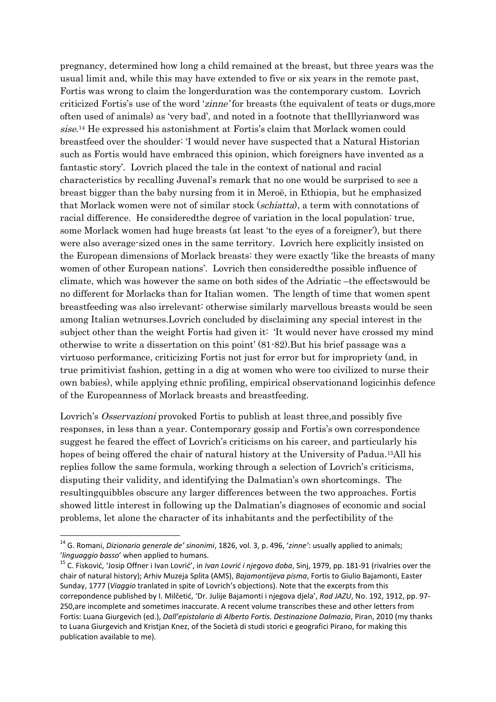pregnancy, determined how long a child remained at the breast, but three years was the usual limit and, while this may have extended to five or six years in the remote past, Fortis was wrong to claim the longerduration was the contemporary custom. Lovrich criticized Fortis's use of the word 'zinne' for breasts (the equivalent of teats or dugs,more often used of animals) as 'very bad', and noted in a footnote that theIllyrianword was sise. <sup>14</sup> He expressed his astonishment at Fortis's claim that Morlack women could breastfeed over the shoulder: 'I would never have suspected that a Natural Historian such as Fortis would have embraced this opinion, which foreigners have invented as a fantastic story'. Lovrich placed the tale in the context of national and racial characteristics by recalling Juvenal's remark that no one would be surprised to see a breast bigger than the baby nursing from it in Meroë, in Ethiopia, but he emphasized that Morlack women were not of similar stock (schiatta), a term with connotations of racial difference. He consideredthe degree of variation in the local population: true, some Morlack women had huge breasts (at least 'to the eyes of a foreigner'), but there were also average-sized ones in the same territory. Lovrich here explicitly insisted on the European dimensions of Morlack breasts: they were exactly 'like the breasts of many women of other European nations'. Lovrich then consideredthe possible influence of climate, which was however the same on both sides of the Adriatic –the effectswould be no different for Morlacks than for Italian women. The length of time that women spent breastfeeding was also irrelevant: otherwise similarly marvellous breasts would be seen among Italian wetnurses.Lovrich concluded by disclaiming any special interest in the subject other than the weight Fortis had given it: 'It would never have crossed my mind otherwise to write a dissertation on this point' (81-82).But his brief passage was a virtuoso performance, criticizing Fortis not just for error but for impropriety (and, in true primitivist fashion, getting in a dig at women who were too civilized to nurse their own babies), while applying ethnic profiling, empirical observationand logicinhis defence of the Europeanness of Morlack breasts and breastfeeding.

Lovrich's Osservazioni provoked Fortis to publish at least three, and possibly five responses, in less than a year. Contemporary gossip and Fortis's own correspondence suggest he feared the effect of Lovrich's criticisms on his career, and particularly his hopes of being offered the chair of natural history at the University of Padua. <sup>15</sup>All his replies follow the same formula, working through a selection of Lovrich's criticisms, disputing their validity, and identifying the Dalmatian's own shortcomings. The resultingquibbles obscure any larger differences between the two approaches. Fortis showed little interest in following up the Dalmatian's diagnoses of economic and social problems, let alone the character of its inhabitants and the perfectibility of the

<sup>14</sup> G. Romani, *Dizionario generale de' sinonimi*, 1826, vol. 3, p. 496, '*zinne'*: usually applied to animals; '*linguaggio basso*' when applied to humans.

<sup>15</sup> C. Fisković, 'Josip Offner i Ivan Lovrić', in *Ivan Lovrić i njegovo doba*, Sinj, 1979, pp. 181-91 (rivalries over the chair of natural history); Arhiv Muzeja Splita (AMS), *Bajamontijeva pisma*, Fortis to Giulio Bajamonti, Easter Sunday, 1777 (*Viaggio* tranlated in spite of Lovrich's objections). Note that the excerpts from this correpondence published by I. Milčetić, 'Dr. Julije Bajamonti i njegova djela', *Rad JAZU*, No. 192, 1912, pp. 97- 250,are incomplete and sometimes inaccurate. A recent volume transcribes these and other letters from Fortis: Luana Giurgevich (ed.), *Dall'epistolario di Alberto Fortis. Destinazione Dalmazia*, Piran, 2010 (my thanks to Luana Giurgevich and Kristjan Knez, of the Società di studi storici e geografici Pirano, for making this publication available to me).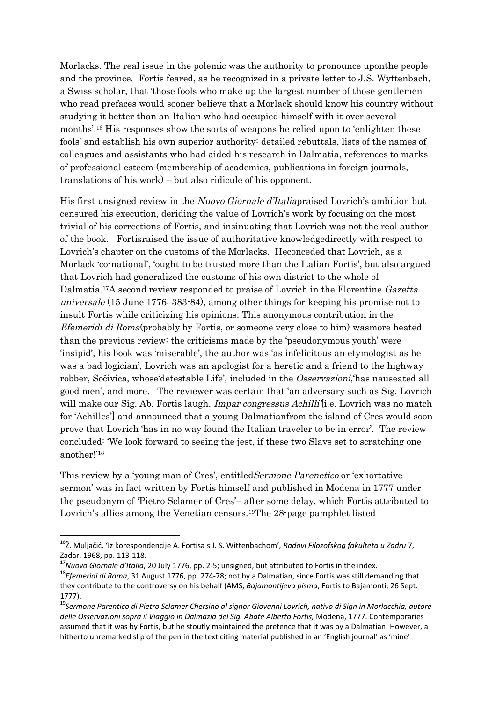Morlacks. The real issue in the polemic was the authority to pronounce uponthe people and the province. Fortis feared, as he recognized in a private letter to J.S. Wyttenbach, a Swiss scholar, that 'those fools who make up the largest number of those gentlemen who read prefaces would sooner believe that a Morlack should know his country without studying it better than an Italian who had occupied himself with it over several months'.<sup>16</sup> His responses show the sorts of weapons he relied upon to 'enlighten these fools' and establish his own superior authority: detailed rebuttals, lists of the names of colleagues and assistants who had aided his research in Dalmatia, references to marks of professional esteem (membership of academies, publications in foreign journals, translations of his work) – but also ridicule of his opponent.

His first unsigned review in the Nuovo Giornale d'Italiapraised Lovrich's ambition but censured his execution, deriding the value of Lovrich's work by focusing on the most trivial of his corrections of Fortis, and insinuating that Lovrich was not the real author of the book. Fortisraised the issue of authoritative knowledgedirectly with respect to Lovrich's chapter on the customs of the Morlacks. Heconceded that Lovrich, as a Morlack 'co-national', 'ought to be trusted more than the Italian Fortis', but also argued that Lovrich had generalized the customs of his own district to the whole of Dalmatia.17A second review responded to praise of Lovrich in the Florentine Gazetta universale (15 June 1776: 383-84), among other things for keeping his promise not to insult Fortis while criticizing his opinions. This anonymous contribution in the Efemeridi di Roma(probably by Fortis, or someone very close to him) wasmore heated than the previous review: the criticisms made by the 'pseudonymous youth' were 'insipid', his book was 'miserable', the author was 'as infelicitous an etymologist as he was a bad logician', Lovrich was an apologist for a heretic and a friend to the highway robber, Sočivica, whose'detestable Life', included in the Osservazioni,'has nauseated all good men', and more. The reviewer was certain that 'an adversary such as Sig. Lovrich will make our Sig. Ab. Fortis laugh. *Impar congressus Achilli* [i.e. Lovrich was no match for 'Achilles'] and announced that a young Dalmatianfrom the island of Cres would soon prove that Lovrich 'has in no way found the Italian traveler to be in error'. The review concluded: 'We look forward to seeing the jest, if these two Slavs set to scratching one another!'<sup>18</sup>

This review by a 'young man of Cres', entitledSermone Parenetico or 'exhortative sermon' was in fact written by Fortis himself and published in Modena in 1777 under the pseudonym of 'Pietro Sclamer of Cres'– after some delay, which Fortis attributed to Lovrich's allies among the Venetian censors.<sup>19</sup>The 28-page pamphlet listed

<sup>16</sup>Ž. Muljačić, 'Iz korespondencije A. Fortisa s J. S. Wittenbachom'*, Radovi Filozofskog fakulteta u Zadru* 7, Zadar, 1968, pp. 113-118.

<sup>17</sup>*Nuovo Giornale d'Italia*, 20 July 1776, pp. 2-5; unsigned, but attributed to Fortis in the index.

<sup>18</sup>*Efemeridi di Roma*, 31 August 1776, pp. 274-78; not by a Dalmatian, since Fortis was still demanding that they contribute to the controversy on his behalf (AMS, *Bajamontijeva pisma*, Fortis to Bajamonti, 26 Sept. 1777).

<sup>19</sup>*Sermone Parentico di Pietro Sclamer Chersino al signor Giovanni Lovrich, nativo di Sign in Morlacchia, autore delle Osservazioni sopra il Viaggio in Dalmazia del Sig. Abate Alberto Fortis,* Modena, 1777. Contemporaries assumed that it was by Fortis, but he stoutly maintained the pretence that it was by a Dalmatian. However, a hitherto unremarked slip of the pen in the text citing material published in an 'English journal' as 'mine'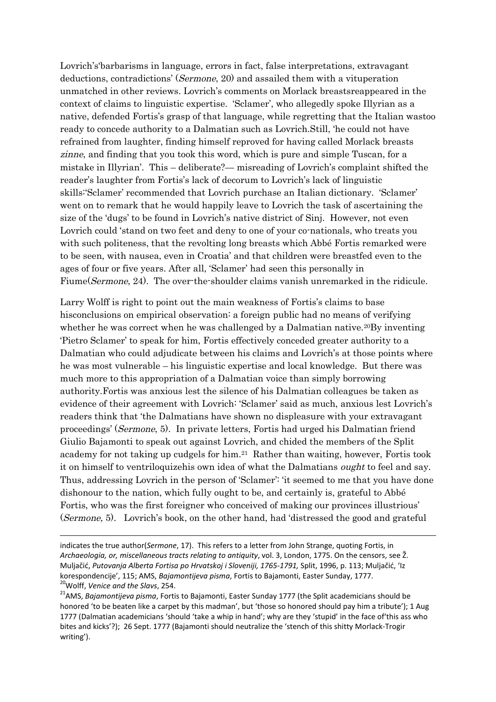Lovrich's'barbarisms in language, errors in fact, false interpretations, extravagant deductions, contradictions' (Sermone, 20) and assailed them with a vituperation unmatched in other reviews. Lovrich's comments on Morlack breastsreappeared in the context of claims to linguistic expertise. 'Sclamer', who allegedly spoke Illyrian as a native, defended Fortis's grasp of that language, while regretting that the Italian wastoo ready to concede authority to a Dalmatian such as Lovrich.Still, 'he could not have refrained from laughter, finding himself reproved for having called Morlack breasts zinne, and finding that you took this word, which is pure and simple Tuscan, for a mistake in Illyrian'. This – deliberate?— misreading of Lovrich's complaint shifted the reader's laughter from Fortis's lack of decorum to Lovrich's lack of linguistic skills:'Sclamer' recommended that Lovrich purchase an Italian dictionary. 'Sclamer' went on to remark that he would happily leave to Lovrich the task of ascertaining the size of the 'dugs' to be found in Lovrich's native district of Sinj. However, not even Lovrich could 'stand on two feet and deny to one of your co-nationals, who treats you with such politeness, that the revolting long breasts which Abbé Fortis remarked were to be seen, with nausea, even in Croatia' and that children were breastfed even to the ages of four or five years. After all, 'Sclamer' had seen this personally in Fiume(Sermone, 24). The over-the-shoulder claims vanish unremarked in the ridicule.

Larry Wolff is right to point out the main weakness of Fortis's claims to base hisconclusions on empirical observation: a foreign public had no means of verifying whether he was correct when he was challenged by a Dalmatian native.<sup>20</sup>By inventing 'Pietro Sclamer' to speak for him, Fortis effectively conceded greater authority to a Dalmatian who could adjudicate between his claims and Lovrich's at those points where he was most vulnerable – his linguistic expertise and local knowledge. But there was much more to this appropriation of a Dalmatian voice than simply borrowing authority.Fortis was anxious lest the silence of his Dalmatian colleagues be taken as evidence of their agreement with Lovrich: 'Sclamer' said as much, anxious lest Lovrich's readers think that 'the Dalmatians have shown no displeasure with your extravagant proceedings' (Sermone, 5). In private letters, Fortis had urged his Dalmatian friend Giulio Bajamonti to speak out against Lovrich, and chided the members of the Split academy for not taking up cudgels for him.<sup>21</sup> Rather than waiting, however, Fortis took it on himself to ventriloquizehis own idea of what the Dalmatians ought to feel and say. Thus, addressing Lovrich in the person of 'Sclamer': 'it seemed to me that you have done dishonour to the nation, which fully ought to be, and certainly is, grateful to Abbé Fortis, who was the first foreigner who conceived of making our provinces illustrious' (Sermone, 5). Lovrich's book, on the other hand, had 'distressed the good and grateful

indicates the true author(*Sermone*, 17). This refers to a letter from John Strange, quoting Fortis, in *Archaeologia, or, miscellaneous tracts relating to antiquity*, vol. 3, London, 1775. On the censors, see Ž. Muljačić, *Putovanja Alberta Fortisa po Hrvatskoj i Sloveniji, 1765-1791,* Split, 1996, p. 113; Muljačić, 'Iz korespondencije', 115; AMS, *Bajamontijeva pisma*, Fortis to Bajamonti, Easter Sunday, 1777. <sup>20</sup>Wolff, *Venice and the Slavs*, 254.

<sup>21</sup>AMS, *Bajamontijeva pisma*, Fortis to Bajamonti, Easter Sunday 1777 (the Split academicians should be honored 'to be beaten like a carpet by this madman', but 'those so honored should pay him a tribute'); 1 Aug 1777 (Dalmatian academicians 'should 'take a whip in hand'; why are they 'stupid' in the face of'this ass who bites and kicks'?); 26 Sept. 1777 (Bajamonti should neutralize the 'stench of this shitty Morlack-Trogir writing').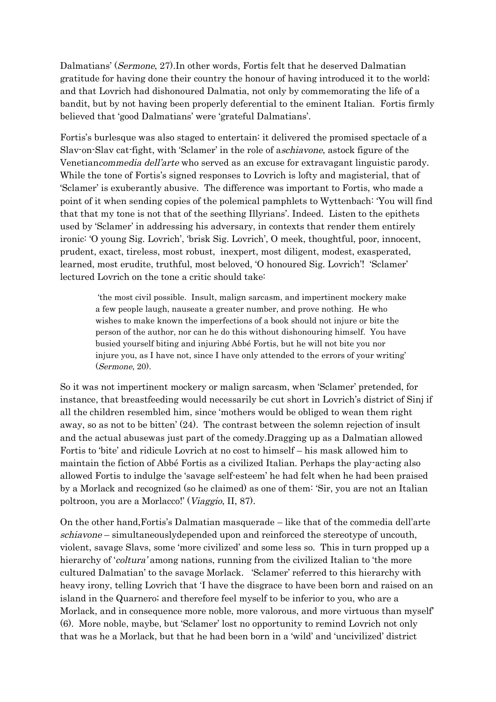Dalmatians' (Sermone, 27).In other words, Fortis felt that he deserved Dalmatian gratitude for having done their country the honour of having introduced it to the world; and that Lovrich had dishonoured Dalmatia, not only by commemorating the life of a bandit, but by not having been properly deferential to the eminent Italian. Fortis firmly believed that 'good Dalmatians' were 'grateful Dalmatians'.

Fortis's burlesque was also staged to entertain: it delivered the promised spectacle of a Slav-on-Slav cat-fight, with 'Sclamer' in the role of aschiavone, astock figure of the Venetiancommedia dell'arte who served as an excuse for extravagant linguistic parody. While the tone of Fortis's signed responses to Lovrich is lofty and magisterial, that of 'Sclamer' is exuberantly abusive. The difference was important to Fortis, who made a point of it when sending copies of the polemical pamphlets to Wyttenbach: 'You will find that that my tone is not that of the seething Illyrians'. Indeed. Listen to the epithets used by 'Sclamer' in addressing his adversary, in contexts that render them entirely ironic: 'O young Sig. Lovrich', 'brisk Sig. Lovrich', O meek, thoughtful, poor, innocent, prudent, exact, tireless, most robust, inexpert, most diligent, modest, exasperated, learned, most erudite, truthful, most beloved, 'O honoured Sig. Lovrich'! 'Sclamer' lectured Lovrich on the tone a critic should take:

'the most civil possible. Insult, malign sarcasm, and impertinent mockery make a few people laugh, nauseate a greater number, and prove nothing. He who wishes to make known the imperfections of a book should not injure or bite the person of the author, nor can he do this without dishonouring himself. You have busied yourself biting and injuring Abbé Fortis, but he will not bite you nor injure you, as I have not, since I have only attended to the errors of your writing' (Sermone, 20).

So it was not impertinent mockery or malign sarcasm, when 'Sclamer' pretended, for instance, that breastfeeding would necessarily be cut short in Lovrich's district of Sinj if all the children resembled him, since 'mothers would be obliged to wean them right away, so as not to be bitten' (24). The contrast between the solemn rejection of insult and the actual abusewas just part of the comedy.Dragging up as a Dalmatian allowed Fortis to 'bite' and ridicule Lovrich at no cost to himself – his mask allowed him to maintain the fiction of Abbé Fortis as a civilized Italian. Perhaps the play-acting also allowed Fortis to indulge the 'savage self-esteem' he had felt when he had been praised by a Morlack and recognized (so he claimed) as one of them: 'Sir, you are not an Italian poltroon, you are a Morlacco!' (Viaggio, II, 87).

On the other hand,Fortis's Dalmatian masquerade – like that of the commedia dell'arte schiavone – simultaneouslydepended upon and reinforced the stereotype of uncouth, violent, savage Slavs, some 'more civilized' and some less so. This in turn propped up a hierarchy of 'coltura' among nations, running from the civilized Italian to 'the more cultured Dalmatian' to the savage Morlack. 'Sclamer' referred to this hierarchy with heavy irony, telling Lovrich that 'I have the disgrace to have been born and raised on an island in the Quarnero; and therefore feel myself to be inferior to you, who are a Morlack, and in consequence more noble, more valorous, and more virtuous than myself' (6). More noble, maybe, but 'Sclamer' lost no opportunity to remind Lovrich not only that was he a Morlack, but that he had been born in a 'wild' and 'uncivilized' district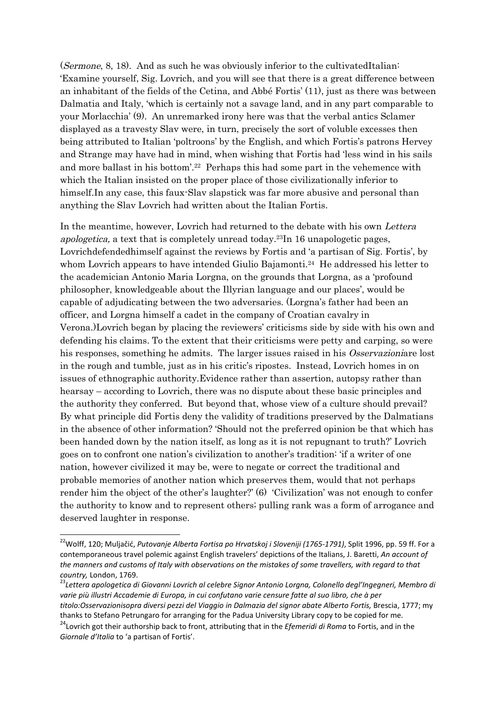(Sermone, 8, 18). And as such he was obviously inferior to the cultivatedItalian: 'Examine yourself, Sig. Lovrich, and you will see that there is a great difference between an inhabitant of the fields of the Cetina, and Abbé Fortis' (11), just as there was between Dalmatia and Italy, 'which is certainly not a savage land, and in any part comparable to your Morlacchia' (9). An unremarked irony here was that the verbal antics Sclamer displayed as a travesty Slav were, in turn, precisely the sort of voluble excesses then being attributed to Italian 'poltroons' by the English, and which Fortis's patrons Hervey and Strange may have had in mind, when wishing that Fortis had 'less wind in his sails and more ballast in his bottom'.<sup>22</sup> Perhaps this had some part in the vehemence with which the Italian insisted on the proper place of those civilizationally inferior to himself.In any case, this faux-Slav slapstick was far more abusive and personal than anything the Slav Lovrich had written about the Italian Fortis.

In the meantime, however, Lovrich had returned to the debate with his own Lettera apologetica, a text that is completely unread today.23In 16 unapologetic pages, Lovrichdefendedhimself against the reviews by Fortis and 'a partisan of Sig. Fortis', by whom Lovrich appears to have intended Giulio Bajamonti.<sup>24</sup> He addressed his letter to the academician Antonio Maria Lorgna, on the grounds that Lorgna, as a 'profound philosopher, knowledgeable about the Illyrian language and our places', would be capable of adjudicating between the two adversaries. (Lorgna's father had been an officer, and Lorgna himself a cadet in the company of Croatian cavalry in Verona.)Lovrich began by placing the reviewers' criticisms side by side with his own and defending his claims. To the extent that their criticisms were petty and carping, so were his responses, something he admits. The larger issues raised in his Osservazioniare lost in the rough and tumble, just as in his critic's ripostes. Instead, Lovrich homes in on issues of ethnographic authority.Evidence rather than assertion, autopsy rather than hearsay – according to Lovrich, there was no dispute about these basic principles and the authority they conferred. But beyond that, whose view of a culture should prevail? By what principle did Fortis deny the validity of traditions preserved by the Dalmatians in the absence of other information? 'Should not the preferred opinion be that which has been handed down by the nation itself, as long as it is not repugnant to truth?' Lovrich goes on to confront one nation's civilization to another's tradition: 'if a writer of one nation, however civilized it may be, were to negate or correct the traditional and probable memories of another nation which preserves them, would that not perhaps render him the object of the other's laughter?' (6) 'Civilization' was not enough to confer the authority to know and to represent others; pulling rank was a form of arrogance and deserved laughter in response.

<sup>&</sup>lt;sup>22</sup>Wolff, 120; Muljačić, Putovanje Alberta Fortisa po Hrvatskoj i Sloveniji (1765-1791), Split 1996, pp. 59 ff. For a contemporaneous travel polemic against English travelers' depictions of the Italians, J. Baretti, *An account of the manners and customs of Italy with observations on the mistakes of some travellers, with regard to that country,* London, 1769.

<sup>23</sup>*Lettera apologetica di Giovanni Lovrich al celebre Signor Antonio Lorgna, Colonello degl'Ingegneri, Membro di varie più illustri Accademie di Europa, in cui confutano varie censure fatte al suo libro, che à per titolo:Osservazionisopra diversi pezzi del Viaggio in Dalmazia del signor abate Alberto Fortis,* Brescia, 1777; my

thanks to Stefano Petrungaro for arranging for the Padua University Library copy to be copied for me. <sup>24</sup>Lovrich got their authorship back to front, attributing that in the *Efemeridi di Roma* to Fortis, and in the *Giornale d'Italia* to 'a partisan of Fortis'.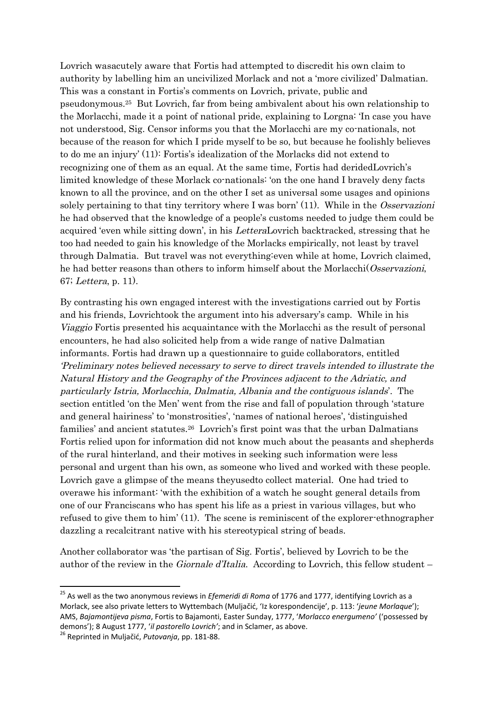Lovrich wasacutely aware that Fortis had attempted to discredit his own claim to authority by labelling him an uncivilized Morlack and not a 'more civilized' Dalmatian. This was a constant in Fortis's comments on Lovrich, private, public and pseudonymous.<sup>25</sup> But Lovrich, far from being ambivalent about his own relationship to the Morlacchi, made it a point of national pride, explaining to Lorgna: 'In case you have not understood, Sig. Censor informs you that the Morlacchi are my co-nationals, not because of the reason for which I pride myself to be so, but because he foolishly believes to do me an injury' (11): Fortis's idealization of the Morlacks did not extend to recognizing one of them as an equal. At the same time, Fortis had deridedLovrich's limited knowledge of these Morlack co-nationals: 'on the one hand I bravely deny facts known to all the province, and on the other I set as universal some usages and opinions solely pertaining to that tiny territory where I was born' (11). While in the Osservazioni he had observed that the knowledge of a people's customs needed to judge them could be acquired 'even while sitting down', in his LetteraLovrich backtracked, stressing that he too had needed to gain his knowledge of the Morlacks empirically, not least by travel through Dalmatia. But travel was not everything:even while at home, Lovrich claimed, he had better reasons than others to inform himself about the Morlacchi(Osservazioni, 67; Lettera, p. 11).

By contrasting his own engaged interest with the investigations carried out by Fortis and his friends, Lovrichtook the argument into his adversary's camp. While in his Viaggio Fortis presented his acquaintance with the Morlacchi as the result of personal encounters, he had also solicited help from a wide range of native Dalmatian informants. Fortis had drawn up a questionnaire to guide collaborators, entitled 'Preliminary notes believed necessary to serve to direct travels intended to illustrate the Natural History and the Geography of the Provinces adjacent to the Adriatic, and particularly Istria, Morlacchia, Dalmatia, Albania and the contiguous islands'. The section entitled 'on the Men' went from the rise and fall of population through 'stature and general hairiness' to 'monstrosities', 'names of national heroes', 'distinguished families' and ancient statutes.<sup>26</sup> Lovrich's first point was that the urban Dalmatians Fortis relied upon for information did not know much about the peasants and shepherds of the rural hinterland, and their motives in seeking such information were less personal and urgent than his own, as someone who lived and worked with these people. Lovrich gave a glimpse of the means theyusedto collect material. One had tried to overawe his informant: 'with the exhibition of a watch he sought general details from one of our Franciscans who has spent his life as a priest in various villages, but who refused to give them to him' (11). The scene is reminiscent of the explorer-ethnographer dazzling a recalcitrant native with his stereotypical string of beads.

Another collaborator was 'the partisan of Sig. Fortis', believed by Lovrich to be the author of the review in the Giornale d'Italia. According to Lovrich, this fellow student –

<sup>25</sup> As well as the two anonymous reviews in *Efemeridi di Roma* of 1776 and 1777, identifying Lovrich as a Morlack, see also private letters to Wyttembach (Muljačić, 'Iz korespondencije', p. 113: '*jeune Morlaque*'); AMS, *Bajamontijeva pisma*, Fortis to Bajamonti, Easter Sunday, 1777, '*Morlacco energumeno'* ('possessed by demons'); 8 August 1777, '*il pastorello Lovrich'*; and in Sclamer, as above.

<sup>26</sup> Reprinted in Muljačić, *Putovanja*, pp. 181-88.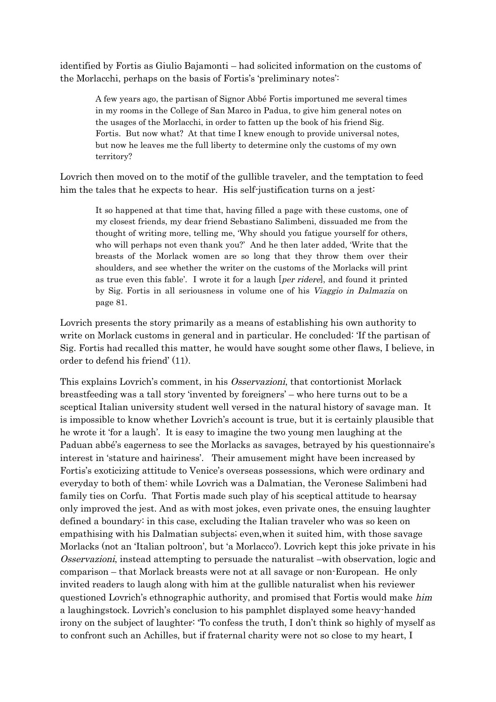identified by Fortis as Giulio Bajamonti – had solicited information on the customs of the Morlacchi, perhaps on the basis of Fortis's 'preliminary notes':

A few years ago, the partisan of Signor Abbé Fortis importuned me several times in my rooms in the College of San Marco in Padua, to give him general notes on the usages of the Morlacchi, in order to fatten up the book of his friend Sig. Fortis. But now what? At that time I knew enough to provide universal notes, but now he leaves me the full liberty to determine only the customs of my own territory?

Lovrich then moved on to the motif of the gullible traveler, and the temptation to feed him the tales that he expects to hear. His self-justification turns on a jest:

It so happened at that time that, having filled a page with these customs, one of my closest friends, my dear friend Sebastiano Salimbeni, dissuaded me from the thought of writing more, telling me, 'Why should you fatigue yourself for others, who will perhaps not even thank you?' And he then later added, 'Write that the breasts of the Morlack women are so long that they throw them over their shoulders, and see whether the writer on the customs of the Morlacks will print as true even this fable'. I wrote it for a laugh [per ridere], and found it printed by Sig. Fortis in all seriousness in volume one of his Viaggio in Dalmazia on page 81.

Lovrich presents the story primarily as a means of establishing his own authority to write on Morlack customs in general and in particular. He concluded: 'If the partisan of Sig. Fortis had recalled this matter, he would have sought some other flaws, I believe, in order to defend his friend' (11).

This explains Lovrich's comment, in his Osservazioni, that contortionist Morlack breastfeeding was a tall story 'invented by foreigners' – who here turns out to be a sceptical Italian university student well versed in the natural history of savage man. It is impossible to know whether Lovrich's account is true, but it is certainly plausible that he wrote it 'for a laugh'. It is easy to imagine the two young men laughing at the Paduan abbé's eagerness to see the Morlacks as savages, betrayed by his questionnaire's interest in 'stature and hairiness'. Their amusement might have been increased by Fortis's exoticizing attitude to Venice's overseas possessions, which were ordinary and everyday to both of them: while Lovrich was a Dalmatian, the Veronese Salimbeni had family ties on Corfu. That Fortis made such play of his sceptical attitude to hearsay only improved the jest. And as with most jokes, even private ones, the ensuing laughter defined a boundary: in this case, excluding the Italian traveler who was so keen on empathising with his Dalmatian subjects; even,when it suited him, with those savage Morlacks (not an 'Italian poltroon', but 'a Morlacco'). Lovrich kept this joke private in his Osservazioni, instead attempting to persuade the naturalist –with observation, logic and comparison – that Morlack breasts were not at all savage or non-European. He only invited readers to laugh along with him at the gullible naturalist when his reviewer questioned Lovrich's ethnographic authority, and promised that Fortis would make him a laughingstock. Lovrich's conclusion to his pamphlet displayed some heavy-handed irony on the subject of laughter: 'To confess the truth, I don't think so highly of myself as to confront such an Achilles, but if fraternal charity were not so close to my heart, I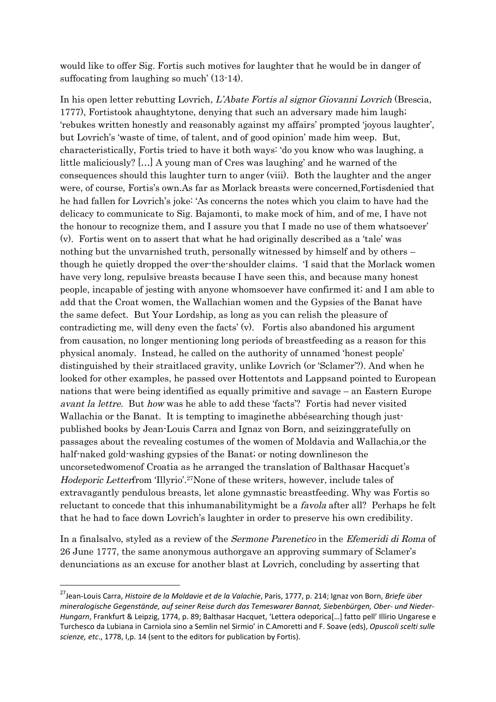would like to offer Sig. Fortis such motives for laughter that he would be in danger of suffocating from laughing so much' (13-14).

In his open letter rebutting Lovrich, L'Abate Fortis al signor Giovanni Lovrich (Brescia, 1777), Fortistook ahaughtytone, denying that such an adversary made him laugh; 'rebukes written honestly and reasonably against my affairs' prompted 'joyous laughter', but Lovrich's 'waste of time, of talent, and of good opinion' made him weep. But, characteristically, Fortis tried to have it both ways: 'do you know who was laughing, a little maliciously? […] A young man of Cres was laughing' and he warned of the consequences should this laughter turn to anger (viii). Both the laughter and the anger were, of course, Fortis's own.As far as Morlack breasts were concerned,Fortisdenied that he had fallen for Lovrich's joke: 'As concerns the notes which you claim to have had the delicacy to communicate to Sig. Bajamonti, to make mock of him, and of me, I have not the honour to recognize them, and I assure you that I made no use of them whatsoever' (v). Fortis went on to assert that what he had originally described as a 'tale' was nothing but the unvarnished truth, personally witnessed by himself and by others – though he quietly dropped the over-the-shoulder claims. 'I said that the Morlack women have very long, repulsive breasts because I have seen this, and because many honest people, incapable of jesting with anyone whomsoever have confirmed it; and I am able to add that the Croat women, the Wallachian women and the Gypsies of the Banat have the same defect. But Your Lordship, as long as you can relish the pleasure of contradicting me, will deny even the facts' (v). Fortis also abandoned his argument from causation, no longer mentioning long periods of breastfeeding as a reason for this physical anomaly. Instead, he called on the authority of unnamed 'honest people' distinguished by their straitlaced gravity, unlike Lovrich (or 'Sclamer'?). And when he looked for other examples, he passed over Hottentots and Lappsand pointed to European nations that were being identified as equally primitive and savage – an Eastern Europe avant la lettre. But how was he able to add these 'facts'? Fortis had never visited Wallachia or the Banat. It is tempting to imaginethe abbésearching though justpublished books by Jean-Louis Carra and Ignaz von Born, and seizinggratefully on passages about the revealing costumes of the women of Moldavia and Wallachia,or the half-naked gold-washing gypsies of the Banat; or noting downlineson the uncorsetedwomenof Croatia as he arranged the translation of Balthasar Hacquet's Hodeporic Letterfrom 'Illyrio'.27None of these writers, however, include tales of extravagantly pendulous breasts, let alone gymnastic breastfeeding. Why was Fortis so reluctant to concede that this inhumanabilitymight be a favola after all? Perhaps he felt that he had to face down Lovrich's laughter in order to preserve his own credibility.

In a finalsalvo, styled as a review of the Sermone Parenetico in the Efemeridi di Roma of 26 June 1777, the same anonymous authorgave an approving summary of Sclamer's denunciations as an excuse for another blast at Lovrich, concluding by asserting that

<sup>27</sup>Jean-Louis Carra, *Histoire de la Moldavie et de la Valachie*, Paris, 1777, p. 214; Ignaz von Born, *Briefe über mineralogische Gegenstände, auf seiner Reise durch das Temeswarer Bannat, Siebenbürgen, Ober- und Nieder-Hungarn*, Frankfurt & Leipzig, 1774, p. 89; Balthasar Hacquet, 'Lettera odeporica[…] fatto pell' Illirio Ungarese e Turchesco da Lubiana in Carniola sino a Semlin nel Sirmio' in C.Amoretti and F. Soave (eds), *Opuscoli scelti sulle scienze, etc*., 1778, I,p. 14 (sent to the editors for publication by Fortis).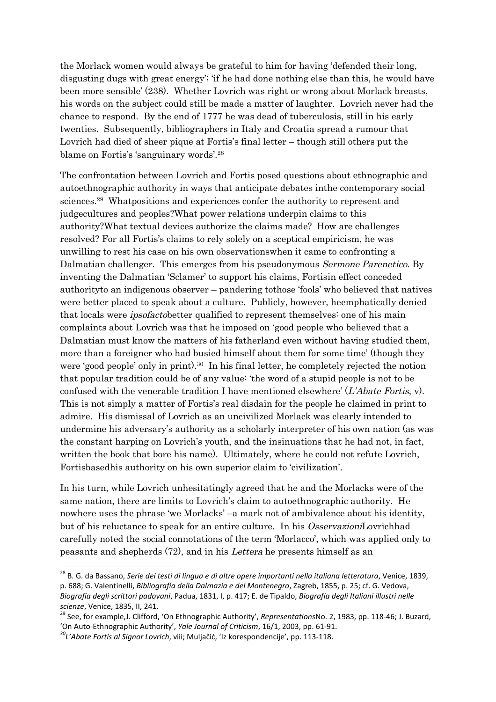the Morlack women would always be grateful to him for having 'defended their long, disgusting dugs with great energy'; 'if he had done nothing else than this, he would have been more sensible' (238). Whether Lovrich was right or wrong about Morlack breasts, his words on the subject could still be made a matter of laughter. Lovrich never had the chance to respond. By the end of 1777 he was dead of tuberculosis, still in his early twenties. Subsequently, bibliographers in Italy and Croatia spread a rumour that Lovrich had died of sheer pique at Fortis's final letter – though still others put the blame on Fortis's 'sanguinary words'.<sup>28</sup>

The confrontation between Lovrich and Fortis posed questions about ethnographic and autoethnographic authority in ways that anticipate debates inthe contemporary social sciences.<sup>29</sup> Whatpositions and experiences confer the authority to represent and judgecultures and peoples?What power relations underpin claims to this authority?What textual devices authorize the claims made? How are challenges resolved? For all Fortis's claims to rely solely on a sceptical empiricism, he was unwilling to rest his case on his own observationswhen it came to confronting a Dalmatian challenger. This emerges from his pseudonymous Sermone Parenetico. By inventing the Dalmatian 'Sclamer' to support his claims, Fortisin effect conceded authorityto an indigenous observer – pandering tothose 'fools' who believed that natives were better placed to speak about a culture. Publicly, however, heemphatically denied that locals were ipsofactobetter qualified to represent themselves: one of his main complaints about Lovrich was that he imposed on 'good people who believed that a Dalmatian must know the matters of his fatherland even without having studied them, more than a foreigner who had busied himself about them for some time' (though they were 'good people' only in print).<sup>30</sup> In his final letter, he completely rejected the notion that popular tradition could be of any value: 'the word of a stupid people is not to be confused with the venerable tradition I have mentioned elsewhere'  $(L'A \text{bate} \text{ Fortis}, \text{v})$ . This is not simply a matter of Fortis's real disdain for the people he claimed in print to admire. His dismissal of Lovrich as an uncivilized Morlack was clearly intended to undermine his adversary's authority as a scholarly interpreter of his own nation (as was the constant harping on Lovrich's youth, and the insinuations that he had not, in fact, written the book that bore his name). Ultimately, where he could not refute Lovrich, Fortisbasedhis authority on his own superior claim to 'civilization'.

In his turn, while Lovrich unhesitatingly agreed that he and the Morlacks were of the same nation, there are limits to Lovrich's claim to autoethnographic authority. He nowhere uses the phrase 'we Morlacks' –a mark not of ambivalence about his identity, but of his reluctance to speak for an entire culture. In his *OsservazioniLovrichhad* carefully noted the social connotations of the term 'Morlacco', which was applied only to peasants and shepherds (72), and in his Lettera he presents himself as an

<sup>&</sup>lt;sup>28</sup> B. G. da Bassano, *Serie dei testi di lingua e di altre opere importanti nella italiana letteratura*, Venice, 1839, p. 688; G. Valentinelli, *Bibliografia della Dalmazia e del Montenegro*, Zagreb, 1855, p. 25; cf. G. Vedova, *Biografia degli scrittori padovani*, Padua, 1831, I, p. 417; E. de Tipaldo, *Biografia degli Italiani illustri nelle scienze*, Venice, 1835, II, 241.

<sup>29</sup> See, for example,J. Clifford, 'On Ethnographic Authority', *Representations*No. 2, 1983, pp. 118-46; J. Buzard, 'On Auto-Ethnographic Authority', *Yale Journal of Criticism*, 16/1, 2003, pp. 61-91.

*<sup>30</sup>L'Abate Fortis al Signor Lovrich*, viii; Muljačić, 'Iz korespondencije', pp. 113-118.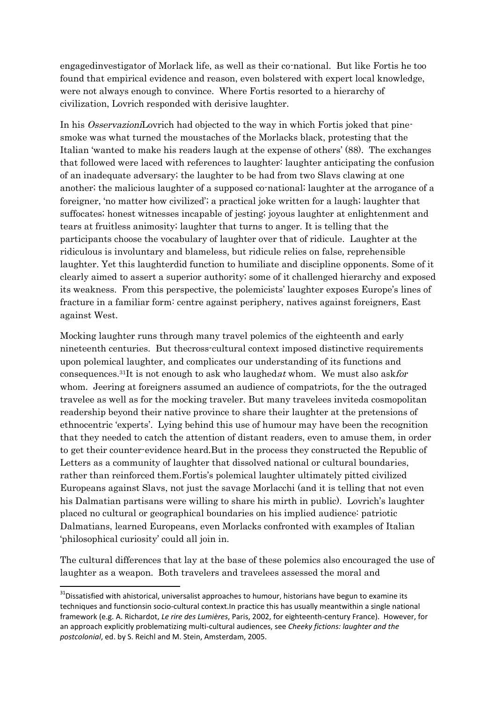engagedinvestigator of Morlack life, as well as their co-national. But like Fortis he too found that empirical evidence and reason, even bolstered with expert local knowledge, were not always enough to convince. Where Fortis resorted to a hierarchy of civilization, Lovrich responded with derisive laughter.

In his OsservazioniLovrich had objected to the way in which Fortis joked that pinesmoke was what turned the moustaches of the Morlacks black, protesting that the Italian 'wanted to make his readers laugh at the expense of others' (88). The exchanges that followed were laced with references to laughter: laughter anticipating the confusion of an inadequate adversary; the laughter to be had from two Slavs clawing at one another; the malicious laughter of a supposed co-national; laughter at the arrogance of a foreigner, 'no matter how civilized'; a practical joke written for a laugh; laughter that suffocates; honest witnesses incapable of jesting; joyous laughter at enlightenment and tears at fruitless animosity; laughter that turns to anger. It is telling that the participants choose the vocabulary of laughter over that of ridicule. Laughter at the ridiculous is involuntary and blameless, but ridicule relies on false, reprehensible laughter. Yet this laughterdid function to humiliate and discipline opponents. Some of it clearly aimed to assert a superior authority; some of it challenged hierarchy and exposed its weakness. From this perspective, the polemicists' laughter exposes Europe's lines of fracture in a familiar form: centre against periphery, natives against foreigners, East against West.

Mocking laughter runs through many travel polemics of the eighteenth and early nineteenth centuries. But thecross-cultural context imposed distinctive requirements upon polemical laughter, and complicates our understanding of its functions and consequences.<sup>31</sup>It is not enough to ask who laughed at whom. We must also askfor whom. Jeering at foreigners assumed an audience of compatriots, for the the outraged travelee as well as for the mocking traveler. But many travelees inviteda cosmopolitan readership beyond their native province to share their laughter at the pretensions of ethnocentric 'experts'. Lying behind this use of humour may have been the recognition that they needed to catch the attention of distant readers, even to amuse them, in order to get their counter-evidence heard.But in the process they constructed the Republic of Letters as a community of laughter that dissolved national or cultural boundaries, rather than reinforced them.Fortis's polemical laughter ultimately pitted civilized Europeans against Slavs, not just the savage Morlacchi (and it is telling that not even his Dalmatian partisans were willing to share his mirth in public). Lovrich's laughter placed no cultural or geographical boundaries on his implied audience: patriotic Dalmatians, learned Europeans, even Morlacks confronted with examples of Italian 'philosophical curiosity' could all join in.

The cultural differences that lay at the base of these polemics also encouraged the use of laughter as a weapon. Both travelers and travelees assessed the moral and

<sup>&</sup>lt;sup>31</sup>Dissatisfied with ahistorical, universalist approaches to humour, historians have begun to examine its techniques and functionsin socio-cultural context.In practice this has usually meantwithin a single national framework (e.g. A. Richardot, *Le rire des Lumières*, Paris, 2002, for eighteenth-century France). However, for an approach explicitly problematizing multi-cultural audiences, see *Cheeky fictions: laughter and the postcolonial*, ed. by S. Reichl and M. Stein, Amsterdam, 2005.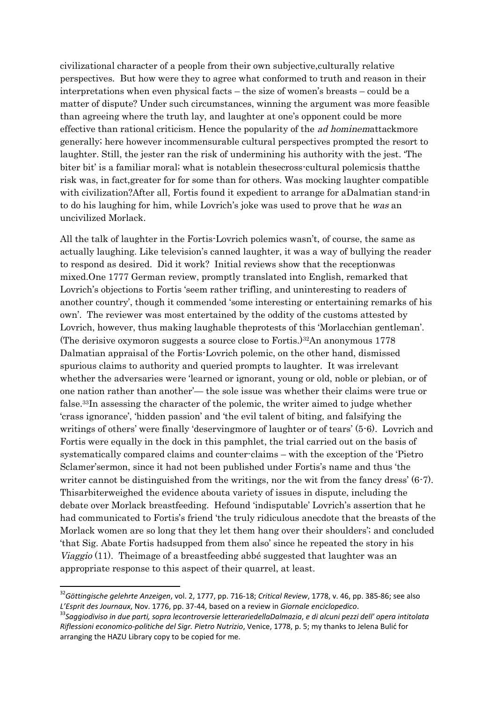civilizational character of a people from their own subjective,culturally relative perspectives. But how were they to agree what conformed to truth and reason in their interpretations when even physical facts – the size of women's breasts – could be a matter of dispute? Under such circumstances, winning the argument was more feasible than agreeing where the truth lay, and laughter at one's opponent could be more effective than rational criticism. Hence the popularity of the ad hominemattackmore generally; here however incommensurable cultural perspectives prompted the resort to laughter. Still, the jester ran the risk of undermining his authority with the jest. 'The biter bit' is a familiar moral; what is notablein thesecross-cultural polemicsis thatthe risk was, in fact,greater for for some than for others. Was mocking laughter compatible with civilization?After all, Fortis found it expedient to arrange for aDalmatian stand-in to do his laughing for him, while Lovrich's joke was used to prove that he was an uncivilized Morlack.

All the talk of laughter in the Fortis-Lovrich polemics wasn't, of course, the same as actually laughing. Like television's canned laughter, it was a way of bullying the reader to respond as desired. Did it work? Initial reviews show that the receptionwas mixed.One 1777 German review, promptly translated into English, remarked that Lovrich's objections to Fortis 'seem rather trifling, and uninteresting to readers of another country', though it commended 'some interesting or entertaining remarks of his own'. The reviewer was most entertained by the oddity of the customs attested by Lovrich, however, thus making laughable theprotests of this 'Morlacchian gentleman'. (The derisive oxymoron suggests a source close to Fortis.)32An anonymous 1778 Dalmatian appraisal of the Fortis-Lovrich polemic, on the other hand, dismissed spurious claims to authority and queried prompts to laughter. It was irrelevant whether the adversaries were 'learned or ignorant, young or old, noble or plebian, or of one nation rather than another'— the sole issue was whether their claims were true or false.33In assessing the character of the polemic, the writer aimed to judge whether 'crass ignorance', 'hidden passion' and 'the evil talent of biting, and falsifying the writings of others' were finally 'deservingmore of laughter or of tears' (5-6). Lovrich and Fortis were equally in the dock in this pamphlet, the trial carried out on the basis of systematically compared claims and counter-claims – with the exception of the 'Pietro Sclamer'sermon, since it had not been published under Fortis's name and thus 'the writer cannot be distinguished from the writings, nor the wit from the fancy dress' (6-7). Thisarbiterweighed the evidence abouta variety of issues in dispute, including the debate over Morlack breastfeeding. Hefound 'indisputable' Lovrich's assertion that he had communicated to Fortis's friend 'the truly ridiculous anecdote that the breasts of the Morlack women are so long that they let them hang over their shoulders'; and concluded 'that Sig. Abate Fortis hadsupped from them also' since he repeated the story in his Viaggio (11). Theimage of a breastfeeding abbé suggested that laughter was an appropriate response to this aspect of their quarrel, at least.

<sup>32</sup>*Göttingische gelehrte Anzeigen*, vol. 2, 1777, pp. 716-18; *Critical Review*, 1778, v. 46, pp. 385-86; see also *L'Esprit des Journaux*, Nov. 1776, pp. 37-44, based on a review in *Giornale enciclopedico*.

<sup>33</sup>*Saggiodiviso in due parti, sopra lecontroversie letterariedellaDalmazia*, *e di alcuni pezzi dell' opera intitolata Riflessioni economico-politiche del Sigr. Pietro Nutrizio*, Venice, 1778, p. 5; my thanks to Jelena Bulić for arranging the HAZU Library copy to be copied for me.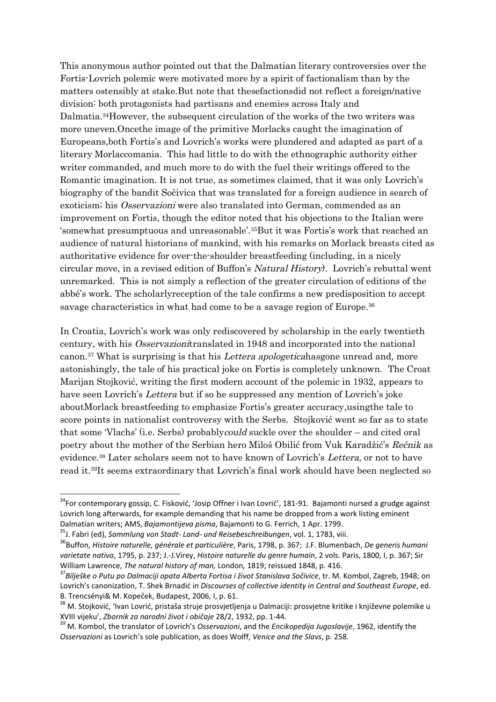This anonymous author pointed out that the Dalmatian literary controversies over the Fortis-Lovrich polemic were motivated more by a spirit of factionalism than by the matters ostensibly at stake.But note that thesefactionsdid not reflect a foreign/native division: both protagonists had partisans and enemies across Italy and Dalmatia.34However, the subsequent circulation of the works of the two writers was more uneven.Oncethe image of the primitive Morlacks caught the imagination of Europeans,both Fortis's and Lovrich's works were plundered and adapted as part of a literary Morlaccomania. This had little to do with the ethnographic authority either writer commanded, and much more to do with the fuel their writings offered to the Romantic imagination. It is not true, as sometimes claimed, that it was only Lovrich's biography of the bandit Sočivica that was translated for a foreign audience in search of exoticism; his Osservazioni were also translated into German, commended as an improvement on Fortis, though the editor noted that his objections to the Italian were 'somewhat presumptuous and unreasonable'.35But it was Fortis's work that reached an audience of natural historians of mankind, with his remarks on Morlack breasts cited as authoritative evidence for over-the-shoulder breastfeeding (including, in a nicely circular move, in a revised edition of Buffon's Natural History). Lovrich's rebuttal went unremarked. This is not simply a reflection of the greater circulation of editions of the abbé's work. The scholarlyreception of the tale confirms a new predisposition to accept savage characteristics in what had come to be a savage region of Europe.<sup>36</sup>

In Croatia, Lovrich's work was only rediscovered by scholarship in the early twentieth century, with his Osservazionitranslated in 1948 and incorporated into the national canon.<sup>37</sup> What is surprising is that his Lettera apologeticahasgone unread and, more astonishingly, the tale of his practical joke on Fortis is completely unknown. The Croat Marijan Stojković, writing the first modern account of the polemic in 1932, appears to have seen Lovrich's Lettera but if so he suppressed any mention of Lovrich's joke aboutMorlack breastfeeding to emphasize Fortis's greater accuracy,usingthe tale to score points in nationalist controversy with the Serbs. Stojković went so far as to state that some 'Vlachs' (i.e. Serbs) probablycould suckle over the shoulder – and cited oral poetry about the mother of the Serbian hero Miloš Obilić from Vuk Karadžić's Rečnik as evidence.<sup>38</sup> Later scholars seem not to have known of Lovrich's Lettera, or not to have read it.39It seems extraordinary that Lovrich's final work should have been neglected so

<sup>&</sup>lt;sup>34</sup>For contemporary gossip, C. Fisković, 'Josip Offner i Ivan Lovrić', 181-91. Bajamonti nursed a grudge against Lovrich long afterwards, for example demanding that his name be dropped from a work listing eminent Dalmatian writers; AMS, *Bajamontijeva pisma*, Bajamonti to G. Ferrich, 1 Apr. 1799.

<sup>35</sup>J. Fabri (ed), *Sammlung von Stadt- Land- und Reisebeschreibungen*, vol. 1, 1783, viii.

<sup>36</sup>Buffon, *Histoire naturelle, générale et particulière*, Paris, 1798, p. 367; J.F. Blumenbach, *De generis humani varietate nativa*, 1795, p. 237; J.-J.Virey, *Histoire naturelle du genre humain*, 2 vols. Paris, 1800, I, p. 367; Sir William Lawrence, *The natural history of man,* London*,* 1819; reissued 1848, p. 416.

<sup>37</sup>*Bilješke o Putu po Dalmaciji opata Alberta Fortisa i život Stanislava Sočivice*, tr. M. Kombol, Zagreb, 1948; on Lovrich's canonization, T. Shek Brnadić in *Discourses of collective identity in Central and Southeast Europe*, ed. B. Trencsényi& M. Kopeček, Budapest, 2006, I, p. 61.

<sup>&</sup>lt;sup>38</sup> M. Stoiković, 'Ivan Lovrić, pristaša struje prosvjetljenja u Dalmaciji: prosvjetne kritike i književne polemike u XVIII vijeku', *Zbornik za narodni život i običaje* 28/2, 1932, pp. 1-44.

<sup>39</sup> M. Kombol, the translator of Lovrich's *Osservazioni*, and the *Encikopedija Jugoslavije*, 1962, identify the *Osservazioni* as Lovrich's sole publication, as does Wolff, *Venice and the Slavs*, p. 258.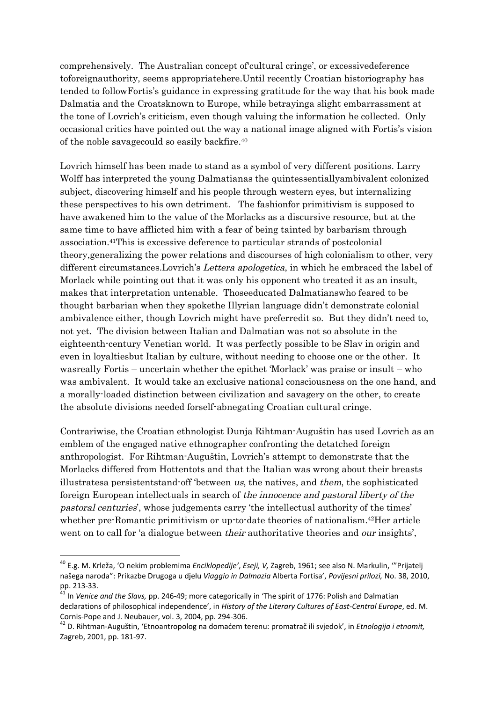comprehensively. The Australian concept of'cultural cringe', or excessivedeference toforeignauthority, seems appropriatehere.Until recently Croatian historiography has tended to followFortis's guidance in expressing gratitude for the way that his book made Dalmatia and the Croatsknown to Europe, while betrayinga slight embarrassment at the tone of Lovrich's criticism, even though valuing the information he collected. Only occasional critics have pointed out the way a national image aligned with Fortis's vision of the noble savagecould so easily backfire.<sup>40</sup>

Lovrich himself has been made to stand as a symbol of very different positions. Larry Wolff has interpreted the young Dalmatianas the quintessentiallyambivalent colonized subject, discovering himself and his people through western eyes, but internalizing these perspectives to his own detriment. The fashionfor primitivism is supposed to have awakened him to the value of the Morlacks as a discursive resource, but at the same time to have afflicted him with a fear of being tainted by barbarism through association.41This is excessive deference to particular strands of postcolonial theory,generalizing the power relations and discourses of high colonialism to other, very different circumstances. Lovrich's *Lettera apologetica*, in which he embraced the label of Morlack while pointing out that it was only his opponent who treated it as an insult, makes that interpretation untenable. Thoseeducated Dalmatianswho feared to be thought barbarian when they spokethe Illyrian language didn't demonstrate colonial ambivalence either, though Lovrich might have preferredit so. But they didn't need to, not yet. The division between Italian and Dalmatian was not so absolute in the eighteenth-century Venetian world. It was perfectly possible to be Slav in origin and even in loyaltiesbut Italian by culture, without needing to choose one or the other. It wasreally Fortis – uncertain whether the epithet 'Morlack' was praise or insult – who was ambivalent. It would take an exclusive national consciousness on the one hand, and a morally-loaded distinction between civilization and savagery on the other, to create the absolute divisions needed forself-abnegating Croatian cultural cringe.

Contrariwise, the Croatian ethnologist Dunja Rihtman-Auguštin has used Lovrich as an emblem of the engaged native ethnographer confronting the detatched foreign anthropologist. For Rihtman-Auguštin, Lovrich's attempt to demonstrate that the Morlacks differed from Hottentots and that the Italian was wrong about their breasts illustratesa persistentstand-off 'between us, the natives, and them, the sophisticated foreign European intellectuals in search of the innocence and pastoral liberty of the pastoral centuries', whose judgements carry 'the intellectual authority of the times' whether pre-Romantic primitivism or up-to-date theories of nationalism.42Her article went on to call for 'a dialogue between *their* authoritative theories and *our* insights',

<sup>40</sup> E.g. M. Krleža, 'O nekim problemima *Enciklopedije'*, *Eseji, V,* Zagreb, 1961; see also N. Markulin, '"Prijatelj našega naroda": Prikazbe Drugoga u djelu *Viaggio in Dalmazia* Alberta Fortisa', *Povijesni prilozi,* No. 38, 2010, pp. 213-33.

<sup>41</sup> In *Venice and the Slavs,* pp. 246-49; more categorically in 'The spirit of 1776: Polish and Dalmatian declarations of philosophical independence', in *History of the Literary Cultures of East-Central Europe*, ed. M. Cornis-Pope and J. Neubauer, vol. 3, 2004, pp. 294-306.

<sup>42</sup> D. Rihtman-Auguštin, 'Etnoantropolog na domaćem terenu: promatrač ili svjedok', in *Etnologija i etnomit,* Zagreb, 2001, pp. 181-97.